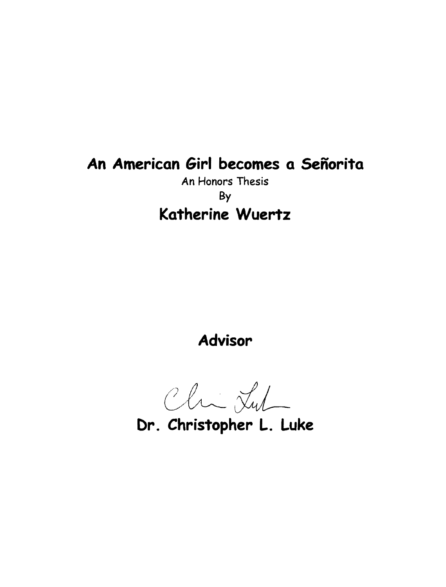## **An American Girl becomes a Senorita**

An Honors Thesis By **Katherine Wuertz** 

**Advisor** 

*GLtL* 

**Dr. Christopher L. Luke**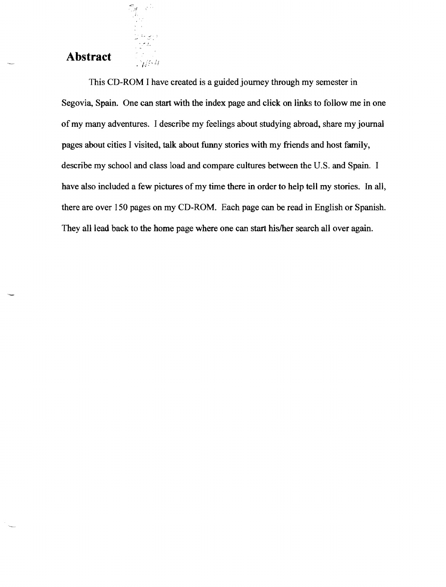## **Abstract**

국학

 $\frac{1}{\sqrt{2}}$ 

This CD-ROM I have created is a guided journey through my semester in Segovia, Spain. One can start with the index page and click on links to follow me in one of my many adventures. I describe my feelings about studying abroad, share my journal pages about cities I visited, talk about funny stories with my friends and host family, describe my school and class load and compare cultures between the U.S. and Spain. I have also included a few pictures of my time there in order to help tell my stories. In all, there are over 150 pages on my CD-ROM. Each page can be read in English or Spanish. They all lead back to the home page where one can start his/her search all over again.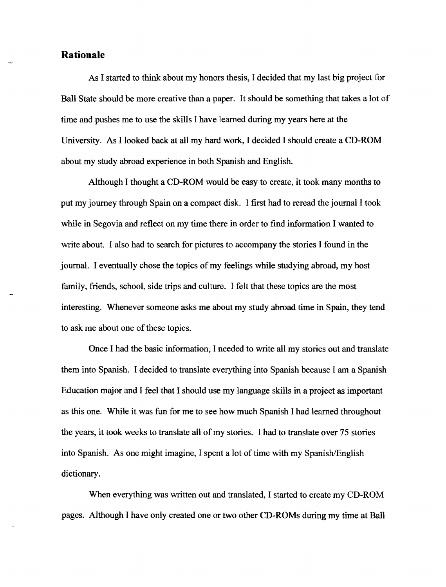## **Rationale**

As I started to think about my honors thesis, I decided that my last big project for Ball State should be more creative than a paper. It should be something that takes a lot of time and pushes me to use the skills I have learned during my years here at the University. As I looked back at all my hard work, I decided I should create a CD-ROM about my study abroad experience in both Spanish and English.

Although I thought a CD-ROM would be easy to create, it took many months to put my journey through Spain on a compact disk. I first had to reread the journal I took while in Segovia and reflect on my time there in order to find information I wanted to write about. I also had to search for pictures to accompany the stories I found in the journal. I eventually chose the topics of my feelings while studying abroad, my host family, friends, school, side trips and culture. I felt that these topics are the most interesting. Whenever someone asks me about my study abroad time in Spain, they tend to ask me about one of these topics.

Once I had the basic information, I needed to write all my stories out and translate them into Spanish. I decided to translate everything into Spanish because I am a Spanish Education major and I feel that I should use my language skills in a project as important as this one. While it was fun for me to see how much Spanish I had learned throughout the years, it took weeks to translate all of my stories. I had to translate over 75 stories into Spanish. As one might imagine, I spent a lot of time with my Spanish/English dictionary.

When everything was written out and translated, I started to create my CD-ROM pages. Although I have only created one or two other CD-ROMs during my time at Ball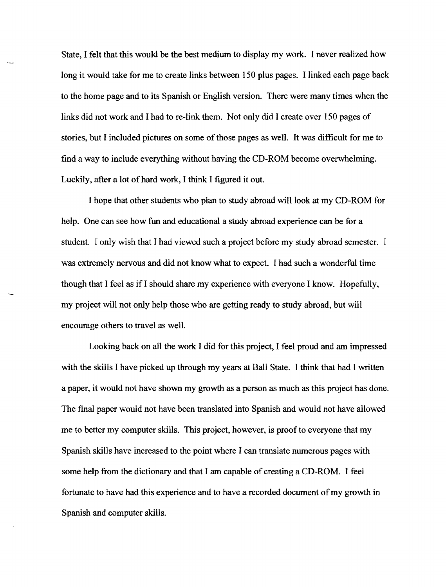State, I felt that this would be the best medium to display my work. I never realized how long it would take for me to create links between 150 plus pages. I linked each page back to the home page and to its Spanish or English version. There were many times when the links did not work and I had to re-link them. Not only did I create over 150 pages of stories, but I included pictures on some of those pages as well. It was difficult for me to find a way to include everything without having the CD-ROM become overwhelming. Luckily, after a lot of hard work, I think I figured it out.

I hope that other students who plan to study abroad will look at my CD-ROM for help. One can see how fun and educational a study abroad experience can be for a student. I only wish that I had viewed such a project before my study abroad semester. I was extremely nervous and did not know what to expect. I had such a wonderful time though that I feel as if I should share my experience with everyone I know. Hopefully, my project will not only help those who are getting ready to study abroad, but will encourage others to travel as well.

Looking back on all the work I did for this project, I feel proud and am impressed with the skills I have picked up through my years at Ball State. I think that had I written a paper, it would not have shown my growth as a person as much as this project has done. The fmal paper would not have been translated into Spanish and would not have allowed me to better my computer skills. This project, however, is proof to everyone that my Spanish skills have increased to the point where I can translate numerous pages with some help from the dictionary and that I am capable of creating a CD-ROM. I feel fortunate to have had this experience and to have a recorded document of my growth in Spanish and computer skills.